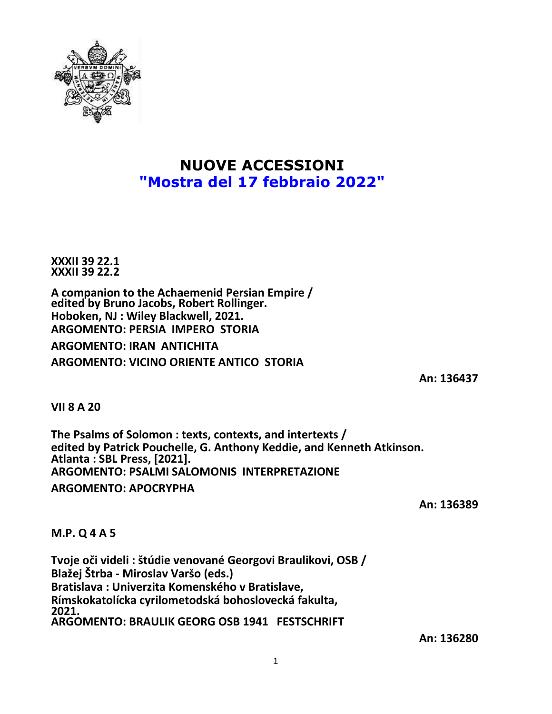

## **NUOVE ACCESSIONI "Mostra del 17 febbraio 2022"**

**XXXII 39 22.1 XXXII 39 22.2**

**A companion to the Achaemenid Persian Empire / edited by Bruno Jacobs, Robert Rollinger. Hoboken, NJ : Wiley Blackwell, 2021. ARGOMENTO: PERSIA IMPERO STORIA**

**ARGOMENTO: IRAN ANTICHITA ARGOMENTO: VICINO ORIENTE ANTICO STORIA**

**An: 136437**

**VII 8 A 20**

**The Psalms of Solomon : texts, contexts, and intertexts / edited by Patrick Pouchelle, G. Anthony Keddie, and Kenneth Atkinson. Atlanta : SBL Press, [2021]. ARGOMENTO: PSALMI SALOMONIS INTERPRETAZIONE ARGOMENTO: APOCRYPHA**

**An: 136389**

## **M.P. Q 4 A 5**

**Tvoje oči videli : štúdie venované Georgovi Braulikovi, OSB / Blažej Štrba - Miroslav Varšo (eds.) Bratislava : Univerzita Komenského v Bratislave, Rímskokatolícka cyrilometodská bohoslovecká fakulta, 2021. ARGOMENTO: BRAULIK GEORG OSB 1941 FESTSCHRIFT**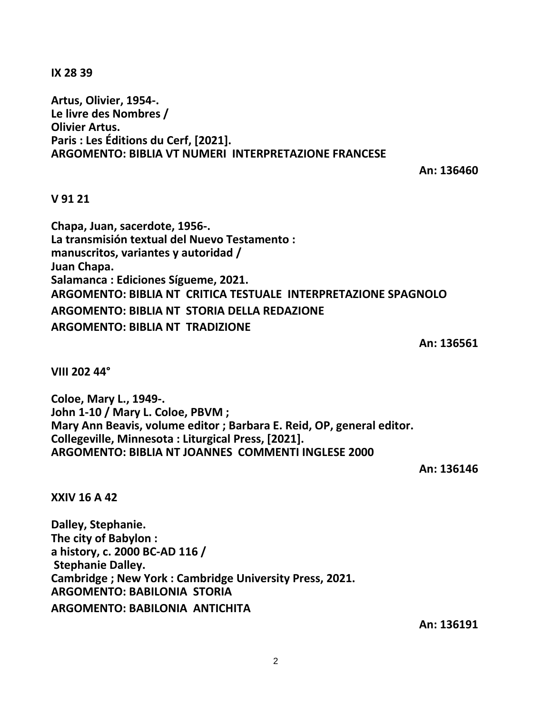**IX 28 39**

**Artus, Olivier, 1954-. Le livre des Nombres / Olivier Artus. Paris : Les Éditions du Cerf, [2021]. ARGOMENTO: BIBLIA VT NUMERI INTERPRETAZIONE FRANCESE**

**An: 136460**

**V 91 21**

**Chapa, Juan, sacerdote, 1956-. La transmisión textual del Nuevo Testamento : manuscritos, variantes y autoridad / Juan Chapa. Salamanca : Ediciones Sígueme, 2021. ARGOMENTO: BIBLIA NT CRITICA TESTUALE INTERPRETAZIONE SPAGNOLO ARGOMENTO: BIBLIA NT STORIA DELLA REDAZIONE ARGOMENTO: BIBLIA NT TRADIZIONE**

**An: 136561**

**VIII 202 44°**

**Coloe, Mary L., 1949-. John 1-10 / Mary L. Coloe, PBVM ; Mary Ann Beavis, volume editor ; Barbara E. Reid, OP, general editor. Collegeville, Minnesota : Liturgical Press, [2021]. ARGOMENTO: BIBLIA NT JOANNES COMMENTI INGLESE 2000**

**An: 136146**

**XXIV 16 A 42**

**Dalley, Stephanie. The city of Babylon : a history, c. 2000 BC-AD 116 / Stephanie Dalley. Cambridge ; New York : Cambridge University Press, 2021. ARGOMENTO: BABILONIA STORIA ARGOMENTO: BABILONIA ANTICHITA**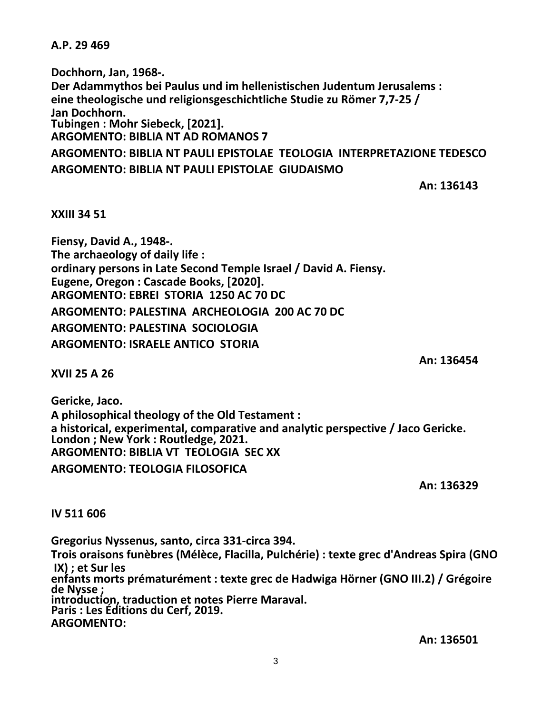## **A.P. 29 469**

**Dochhorn, Jan, 1968-. Der Adammythos bei Paulus und im hellenistischen Judentum Jerusalems : eine theologische und religionsgeschichtliche Studie zu Römer 7,7-25 / Jan Dochhorn. Tubingen : Mohr Siebeck, [2021]. ARGOMENTO: BIBLIA NT AD ROMANOS 7**

**ARGOMENTO: BIBLIA NT PAULI EPISTOLAE TEOLOGIA INTERPRETAZIONE TEDESCO ARGOMENTO: BIBLIA NT PAULI EPISTOLAE GIUDAISMO**

**An: 136143**

**XXIII 34 51**

**Fiensy, David A., 1948-. The archaeology of daily life : ordinary persons in Late Second Temple Israel / David A. Fiensy. Eugene, Oregon : Cascade Books, [2020]. ARGOMENTO: EBREI STORIA 1250 AC 70 DC ARGOMENTO: PALESTINA ARCHEOLOGIA 200 AC 70 DC ARGOMENTO: PALESTINA SOCIOLOGIA ARGOMENTO: ISRAELE ANTICO STORIA**

**XVII 25 A 26**

**Gericke, Jaco. A philosophical theology of the Old Testament : a historical, experimental, comparative and analytic perspective / Jaco Gericke. London ; New York : Routledge, 2021. ARGOMENTO: BIBLIA VT TEOLOGIA SEC XX ARGOMENTO: TEOLOGIA FILOSOFICA**

**An: 136329**

**An: 136454**

**IV 511 606**

**Gregorius Nyssenus, santo, circa 331-circa 394. Trois oraisons funèbres (Mélèce, Flacilla, Pulchérie) : texte grec d'Andreas Spira (GNO IX) ; et Sur les enfants morts prématurément : texte grec de Hadwiga Hörner (GNO III.2) / Grégoire de Nysse ; introduction, traduction et notes Pierre Maraval. Paris : Les Éditions du Cerf, 2019. ARGOMENTO:**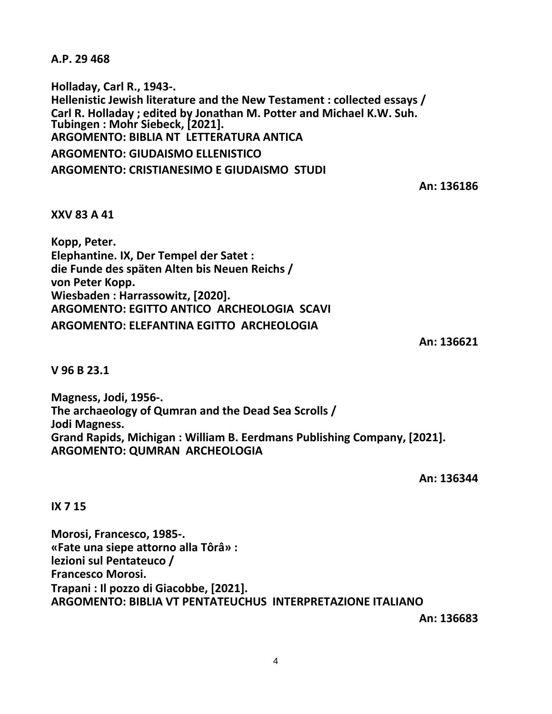**A.P. 29 468**

**Holladay, Carl R., 1943-. Hellenistic Jewish literature and the New Testament : collected essays / Carl R. Holladay ; edited by Jonathan M. Potter and Michael K.W. Suh. Tubingen : Mohr Siebeck, [2021]. ARGOMENTO: BIBLIA NT LETTERATURA ANTICA ARGOMENTO: GIUDAISMO ELLENISTICO ARGOMENTO: CRISTIANESIMO E GIUDAISMO STUDI**

**An: 136186**

**XXV 83 A 41**

**Kopp, Peter. Elephantine. IX, Der Tempel der Satet : die Funde des späten Alten bis Neuen Reichs / von Peter Kopp. Wiesbaden : Harrassowitz, [2020]. ARGOMENTO: EGITTO ANTICO ARCHEOLOGIA SCAVI ARGOMENTO: ELEFANTINA EGITTO ARCHEOLOGIA**

**An: 136621**

**V 96 B 23.1**

**Magness, Jodi, 1956-. The archaeology of Qumran and the Dead Sea Scrolls / Jodi Magness. Grand Rapids, Michigan : William B. Eerdmans Publishing Company, [2021]. ARGOMENTO: QUMRAN ARCHEOLOGIA**

**An: 136344**

**IX 7 15**

**Morosi, Francesco, 1985-. «Fate una siepe attorno alla Tôrâ» : lezioni sul Pentateuco / Francesco Morosi. Trapani : Il pozzo di Giacobbe, [2021]. ARGOMENTO: BIBLIA VT PENTATEUCHUS INTERPRETAZIONE ITALIANO**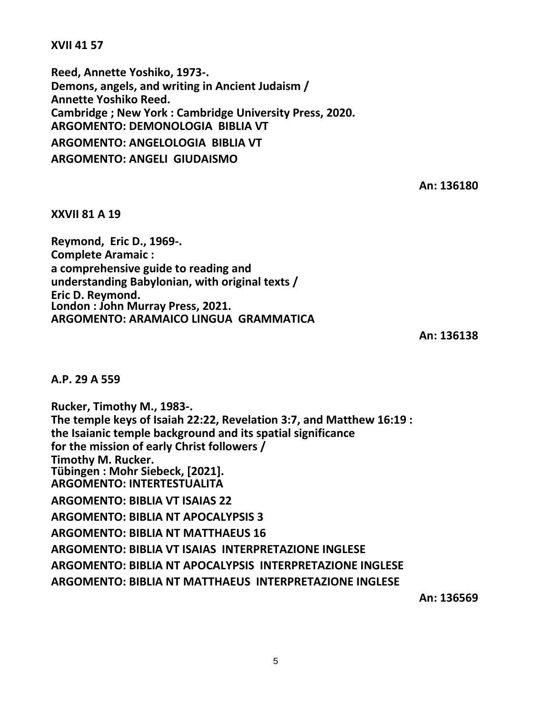**XVII 41 57**

**Reed, Annette Yoshiko, 1973-. Demons, angels, and writing in Ancient Judaism / Annette Yoshiko Reed. Cambridge ; New York : Cambridge University Press, 2020. ARGOMENTO: DEMONOLOGIA BIBLIA VT ARGOMENTO: ANGELOLOGIA BIBLIA VT ARGOMENTO: ANGELI GIUDAISMO**

**An: 136180**

**XXVII 81 A 19**

**Reymond, Eric D., 1969-. Complete Aramaic : a comprehensive guide to reading and understanding Babylonian, with original texts / Eric D. Reymond. London : John Murray Press, 2021. ARGOMENTO: ARAMAICO LINGUA GRAMMATICA**

**An: 136138**

**A.P. 29 A 559**

**Rucker, Timothy M., 1983-. The temple keys of Isaiah 22:22, Revelation 3:7, and Matthew 16:19 : the Isaianic temple background and its spatial significance for the mission of early Christ followers / Timothy M. Rucker. Tübingen : Mohr Siebeck, [2021]. ARGOMENTO: INTERTESTUALITA ARGOMENTO: BIBLIA VT ISAIAS 22 ARGOMENTO: BIBLIA NT APOCALYPSIS 3 ARGOMENTO: BIBLIA NT MATTHAEUS 16 ARGOMENTO: BIBLIA VT ISAIAS INTERPRETAZIONE INGLESE ARGOMENTO: BIBLIA NT APOCALYPSIS INTERPRETAZIONE INGLESE ARGOMENTO: BIBLIA NT MATTHAEUS INTERPRETAZIONE INGLESE**